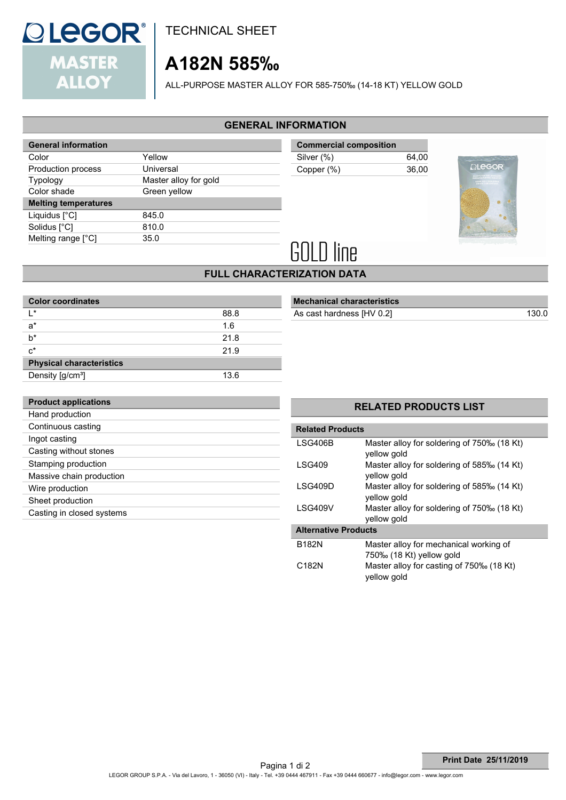

TECHNICAL SHEET

# **A182N 585‰**

ALL-PURPOSE MASTER ALLOY FOR 585-750‰ (14-18 KT) YELLOW GOLD

#### **GENERAL INFORMATION**

| <b>General information</b>  |                       |
|-----------------------------|-----------------------|
| Color                       | Yellow                |
| Production process          | Universal             |
| <b>Typology</b>             | Master alloy for gold |
| Color shade                 | Green yellow          |
| <b>Melting temperatures</b> |                       |
| Liquidus [°C]               | 845.0                 |
| Solidus [°C]                | 810.0                 |
| Melting range [°C]          | 35.0                  |
|                             |                       |

| <b>Commercial composition</b> |       |
|-------------------------------|-------|
| Silver (%)                    | 64.00 |
| Copper (%)                    | 36.00 |
|                               |       |



# **GOLD line**

### **FULL CHARACTERIZATION DATA**

| <b>Color coordinates</b>        |      |  |  |
|---------------------------------|------|--|--|
| $\mathsf{I}^*$                  | 88.8 |  |  |
| $a^*$                           | 1.6  |  |  |
| h*                              | 21.8 |  |  |
| $c^*$                           | 21.9 |  |  |
| <b>Physical characteristics</b> |      |  |  |
| Density [g/cm <sup>3</sup> ]    | 13.6 |  |  |

## **Mechanical characteristics**

As cast hardness [HV 0.2] 130.0

| <b>Product applications</b> |
|-----------------------------|
| Hand production             |
| Continuous casting          |
| Ingot casting               |
| Casting without stones      |
| Stamping production         |
| Massive chain production    |
| Wire production             |
| Sheet production            |
| Casting in closed systems   |
|                             |

#### **RELATED PRODUCTS LIST**

| <b>Related Products</b>     |                                                                    |  |  |  |
|-----------------------------|--------------------------------------------------------------------|--|--|--|
| <b>LSG406B</b>              | Master alloy for soldering of 750‰ (18 Kt)<br>yellow gold          |  |  |  |
| <b>LSG409</b>               | Master alloy for soldering of 585‰ (14 Kt)<br>yellow gold          |  |  |  |
| I SG409D                    | Master alloy for soldering of 585‰ (14 Kt)<br>yellow gold          |  |  |  |
| <b>LSG409V</b>              | Master alloy for soldering of 750‰ (18 Kt)<br>yellow gold          |  |  |  |
| <b>Alternative Products</b> |                                                                    |  |  |  |
| <b>B182N</b>                | Master alloy for mechanical working of<br>750‰ (18 Kt) yellow gold |  |  |  |
| C <sub>182</sub> N          | Master alloy for casting of 750‰ (18 Kt)<br>vellow gold            |  |  |  |